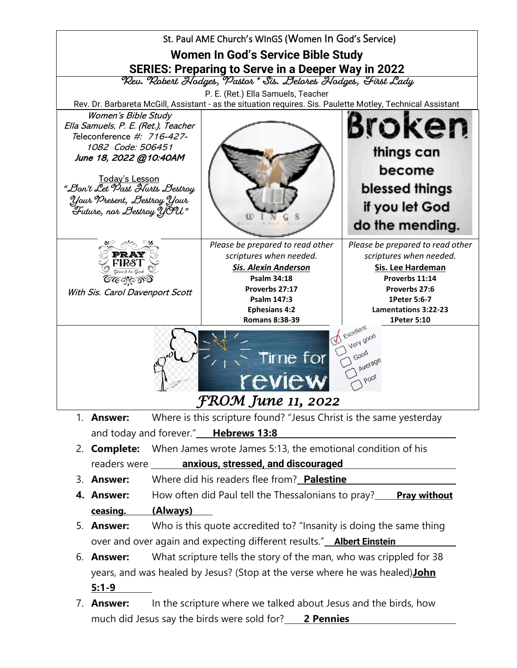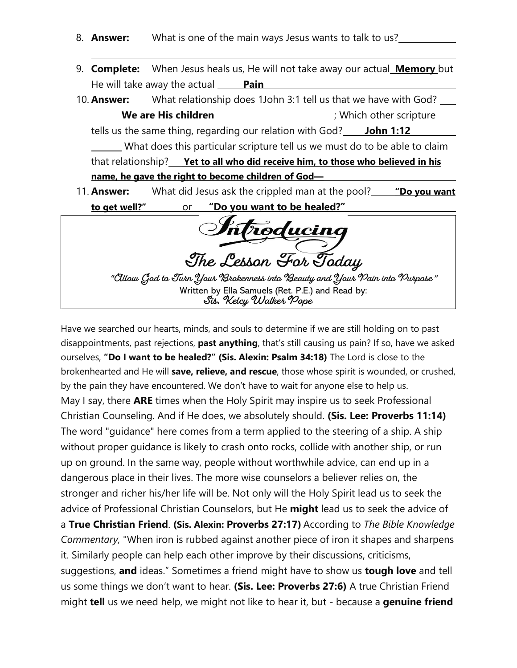- 8. **Answer:** What is one of the main ways Jesus wants to talk to us?
- 9. **Complete:** When Jesus heals us, He will not take away our actual **Memory** but He will take away the actual **Pain**
- 10. **Answer:** What relationship does 1John 3:1 tell us that we have with God? **We are His children We are His children in the CO** is the contract to the scripture tells us the same thing, regarding our relation with God? **John 1:12** What does this particular scripture tell us we must do to be able to claim that relationship? **Yet to all who did receive him, to those who believed in his name, he gave the right to become children of God—** 11. **Answer:** What did Jesus ask the crippled man at the pool? **"Do you want to get well?"** or **"Do you want to be healed?"**

**The Lesson For Today** 

**"Allow God to Turn Your Brokenness into Beauty and Your Pain into Purpose"** Written by Ella Samuels (Ret. P.E.) and Read by: **Sis. Kelcy Walker Pope**

Have we searched our hearts, minds, and souls to determine if we are still holding on to past disappointments, past rejections, **past anything**, that's still causing us pain? If so, have we asked ourselves, **"Do I want to be healed?" (Sis. Alexin: Psalm 34:18)** The Lord is close to the brokenhearted and He will **save, relieve, and rescue**, those whose spirit is wounded, or crushed, by the pain they have encountered. We don't have to wait for anyone else to help us. May I say, there **ARE** times when the Holy Spirit may inspire us to seek Professional Christian Counseling. And if He does, we absolutely should. **(Sis. Lee: Proverbs 11:14)** The word "guidance" here comes from a term applied to the steering of a ship. A ship without proper guidance is likely to crash onto rocks, collide with another ship, or run up on ground. In the same way, people without worthwhile advice, can end up in a dangerous place in their lives. The more wise counselors a believer relies on, the stronger and richer his/her life will be. Not only will the Holy Spirit lead us to seek the advice of Professional Christian Counselors, but He **might** lead us to seek the advice of a **True Christian Friend**. **(Sis. Alexin: Proverbs 27:17)** According to *The Bible Knowledge Commentary,* "When iron is rubbed against another piece of iron it shapes and sharpens it. Similarly people can help each other improve by their discussions, criticisms, suggestions, **and** ideas." Sometimes a friend might have to show us **tough love** and tell us some things we don't want to hear. **(Sis. Lee: Proverbs 27:6)** A true Christian Friend might **tell** us we need help, we might not like to hear it, but - because a **genuine friend**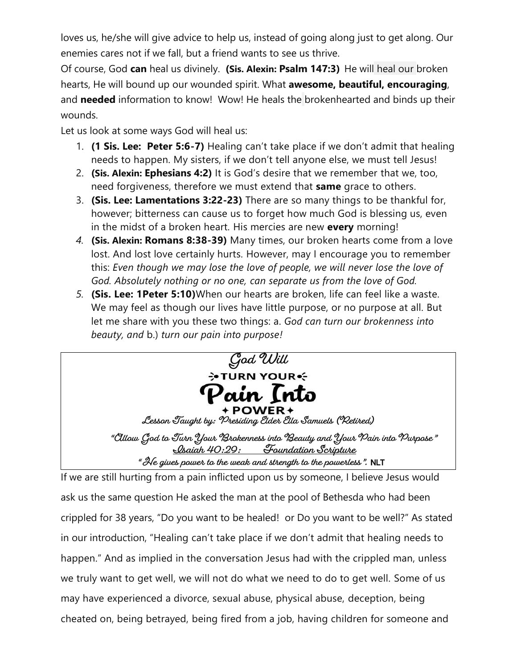loves us, he/she will give advice to help us, instead of going along just to get along. Our enemies cares not if we fall, but a friend wants to see us thrive.

Of course, God **can** heal us divinely. **(Sis. Alexin: Psalm 147:3)** He will heal our broken hearts, He will bound up our wounded spirit. What **awesome, beautiful, encouraging**, and **needed** information to know! Wow! He heals the brokenhearted and binds up their wounds.

Let us look at some ways God will heal us:

- 1. **(1 Sis. Lee: Peter 5:6-7)** Healing can't take place if we don't admit that healing needs to happen. My sisters, if we don't tell anyone else, we must tell Jesus!
- 2. **(Sis. Alexin: Ephesians 4:2)** It is God's desire that we remember that we, too, need forgiveness, therefore we must extend that **same** grace to others.
- 3. **(Sis. Lee: Lamentations 3:22-23)** There are so many things to be thankful for, however; bitterness can cause us to forget how much God is blessing us, even in the midst of a broken heart. His mercies are new **every** morning!
- *4.* **(Sis. Alexin: Romans 8:38-39)** Many times, our broken hearts come from a love lost. And lost love certainly hurts. However, may I encourage you to remember this: *Even though we may lose the love of people, we will never lose the love of God. Absolutely nothing or no one, can separate us from the love of God.*
- *5.* **(Sis. Lee: 1Peter 5:10)**When our hearts are broken, life can feel like a waste. We may feel as though our lives have little purpose, or no purpose at all. But let me share with you these two things: a. *God can turn our brokenness into beauty, and* b.) *turn our pain into purpose!*



If we are still hurting from a pain inflicted upon us by someone, I believe Jesus would ask us the same question He asked the man at the pool of Bethesda who had been crippled for 38 years, "Do you want to be healed! or Do you want to be well?" As stated in our introduction, "Healing can't take place if we don't admit that healing needs to happen." And as implied in the conversation Jesus had with the crippled man, unless we truly want to get well, we will not do what we need to do to get well. Some of us may have experienced a divorce, sexual abuse, physical abuse, deception, being cheated on, being betrayed, being fired from a job, having children for someone and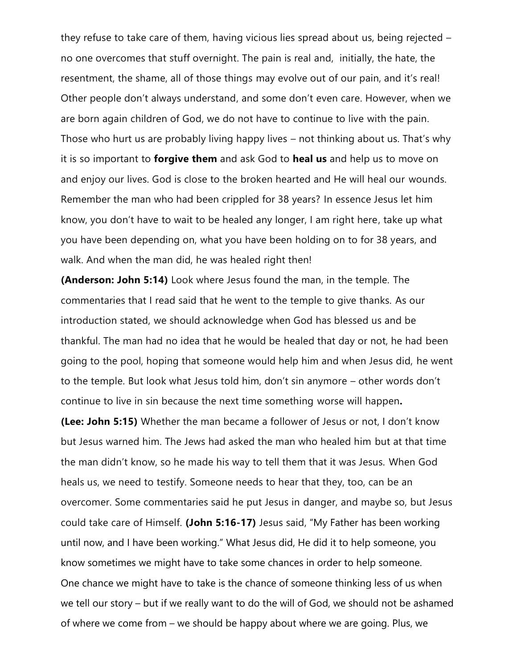they refuse to take care of them, having vicious lies spread about us, being rejected – no one overcomes that stuff overnight. The pain is real and, initially, the hate, the resentment, the shame, all of those things may evolve out of our pain, and it's real! Other people don't always understand, and some don't even care. However, when we are born again children of God, we do not have to continue to live with the pain. Those who hurt us are probably living happy lives – not thinking about us. That's why it is so important to **forgive them** and ask God to **heal us** and help us to move on and enjoy our lives. God is close to the broken hearted and He will heal our wounds. Remember the man who had been crippled for 38 years? In essence Jesus let him know, you don't have to wait to be healed any longer, I am right here, take up what you have been depending on, what you have been holding on to for 38 years, and walk. And when the man did, he was healed right then!

**(Anderson: John 5:14)** Look where Jesus found the man, in the temple. The commentaries that I read said that he went to the temple to give thanks. As our introduction stated, we should acknowledge when God has blessed us and be thankful. The man had no idea that he would be healed that day or not, he had been going to the pool, hoping that someone would help him and when Jesus did, he went to the temple. But look what Jesus told him, don't sin anymore – other words don't continue to live in sin because the next time something worse will happen**.**

**(Lee: John 5:15)** Whether the man became a follower of Jesus or not, I don't know but Jesus warned him. The Jews had asked the man who healed him but at that time the man didn't know, so he made his way to tell them that it was Jesus. When God heals us, we need to testify. Someone needs to hear that they, too, can be an overcomer. Some commentaries said he put Jesus in danger, and maybe so, but Jesus could take care of Himself. **(John 5:16-17)** Jesus said, "My Father has been working until now, and I have been working." What Jesus did, He did it to help someone, you know sometimes we might have to take some chances in order to help someone. One chance we might have to take is the chance of someone thinking less of us when we tell our story – but if we really want to do the will of God, we should not be ashamed of where we come from – we should be happy about where we are going. Plus, we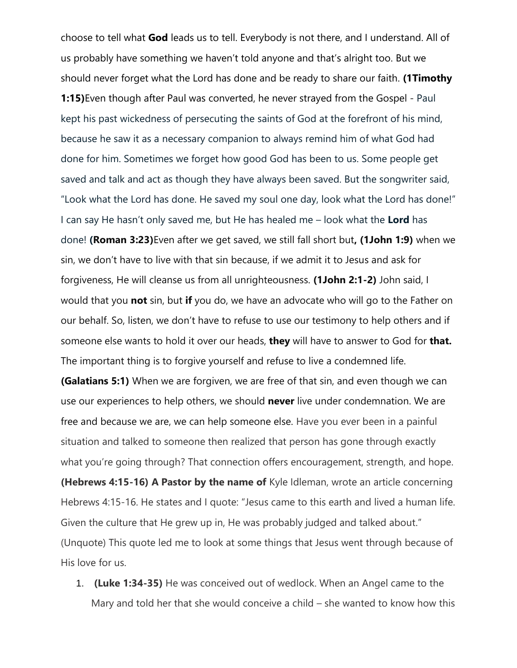choose to tell what **God** leads us to tell. Everybody is not there, and I understand. All of us probably have something we haven't told anyone and that's alright too. But we should never forget what the Lord has done and be ready to share our faith. **(1Timothy 1:15)**Even though after Paul was converted, he never strayed from the Gospel - Paul kept his past wickedness of persecuting the saints of God at the forefront of his mind, because he saw it as a necessary companion to always remind him of what God had done for him. Sometimes we forget how good God has been to us. Some people get saved and talk and act as though they have always been saved. But the songwriter said, "Look what the Lord has done. He saved my soul one day, look what the Lord has done!" I can say He hasn't only saved me, but He has healed me – look what the **Lord** has done! **(Roman 3:23)**Even after we get saved, we still fall short but**, (1John 1:9)** when we sin, we don't have to live with that sin because, if we admit it to Jesus and ask for forgiveness, He will cleanse us from all unrighteousness. **(1John 2:1-2)** John said, I would that you **not** sin, but **if** you do, we have an advocate who will go to the Father on our behalf. So, listen, we don't have to refuse to use our testimony to help others and if someone else wants to hold it over our heads, **they** will have to answer to God for **that.** The important thing is to forgive yourself and refuse to live a condemned life.

**(Galatians 5:1)** When we are forgiven, we are free of that sin, and even though we can use our experiences to help others, we should **never** live under condemnation. We are free and because we are, we can help someone else. Have you ever been in a painful situation and talked to someone then realized that person has gone through exactly what you're going through? That connection offers encouragement, strength, and hope. **(Hebrews 4:15-16) A Pastor by the name of** Kyle Idleman, wrote an article concerning Hebrews 4:15-16. He states and I quote: "Jesus came to this earth and lived a human life. Given the culture that He grew up in, He was probably judged and talked about." (Unquote) This quote led me to look at some things that Jesus went through because of His love for us.

1. **(Luke 1:34-35)** He was conceived out of wedlock. When an Angel came to the Mary and told her that she would conceive a child – she wanted to know how this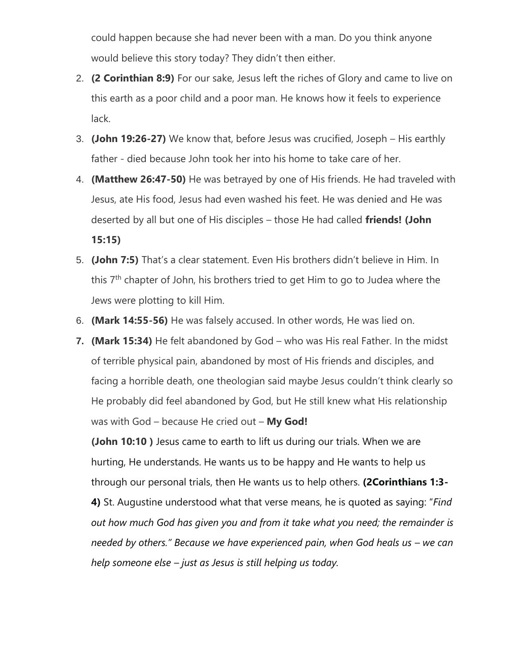could happen because she had never been with a man. Do you think anyone would believe this story today? They didn't then either.

- 2. **(2 Corinthian 8:9)** For our sake, Jesus left the riches of Glory and came to live on this earth as a poor child and a poor man. He knows how it feels to experience lack.
- 3. **(John 19:26-27)** We know that, before Jesus was crucified, Joseph His earthly father - died because John took her into his home to take care of her.
- 4. **(Matthew 26:47-50)** He was betrayed by one of His friends. He had traveled with Jesus, ate His food, Jesus had even washed his feet. He was denied and He was deserted by all but one of His disciples – those He had called **friends! (John 15:15)**
- 5. **(John 7:5)** That's a clear statement. Even His brothers didn't believe in Him. In this 7<sup>th</sup> chapter of John, his brothers tried to get Him to go to Judea where the Jews were plotting to kill Him.
- 6. **(Mark 14:55-56)** He was falsely accused. In other words, He was lied on.
- **7. (Mark 15:34)** He felt abandoned by God who was His real Father. In the midst of terrible physical pain, abandoned by most of His friends and disciples, and facing a horrible death, one theologian said maybe Jesus couldn't think clearly so He probably did feel abandoned by God, but He still knew what His relationship was with God – because He cried out – **My God!**

**(John 10:10 )** Jesus came to earth to lift us during our trials. When we are hurting, He understands. He wants us to be happy and He wants to help us through our personal trials, then He wants us to help others. **(2Corinthians 1:3- 4)** St. Augustine understood what that verse means, he is quoted as saying: "*Find out how much God has given you and from it take what you need; the remainder is needed by others." Because we have experienced pain, when God heals us - we can help someone else – just as Jesus is still helping us today.*